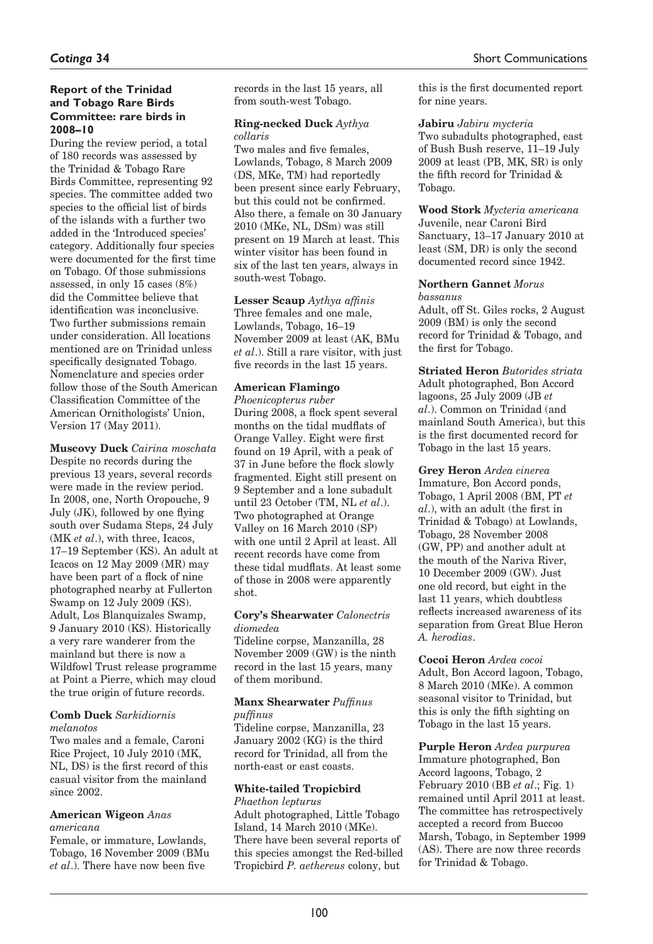## **Report of the Trinidad and Tobago Rare Birds Committee: rare birds in 2008–10**

During the review period, a total of 180 records was assessed by the Trinidad & Tobago Rare Birds Committee, representing 92 species. The committee added two species to the official list of birds of the islands with a further two added in the 'Introduced species' category. Additionally four species were documented for the first time on Tobago. Of those submissions assessed, in only 15 cases (8%) did the Committee believe that identification was inconclusive. Two further submissions remain under consideration. All locations mentioned are on Trinidad unless specifically designated Tobago. Nomenclature and species order follow those of the South American Classification Committee of the American Ornithologists' Union, Version 17 (May 2011).

**Muscovy Duck** *Cairina moschata* Despite no records during the previous 13 years, several records were made in the review period. In 2008, one, North Oropouche, 9 July (JK), followed by one flying south over Sudama Steps, 24 July (MK *et al*.), with three, Icacos, 17–19 September (KS). An adult at Icacos on 12 May 2009 (MR) may have been part of a flock of nine photographed nearby at Fullerton Swamp on 12 July 2009 (KS). Adult, Los Blanquizales Swamp, 9 January 2010 (KS). Historically a very rare wanderer from the mainland but there is now a Wildfowl Trust release programme at Point a Pierre, which may cloud the true origin of future records.

#### **Comb Duck** *Sarkidiornis melanotos*

Two males and a female, Caroni Rice Project, 10 July 2010 (MK, NL, DS) is the first record of this casual visitor from the mainland since 2002.

#### **American Wigeon** *Anas americana*

Female, or immature, Lowlands, Tobago, 16 November 2009 (BMu *et al*.). There have now been five

records in the last 15 years, all from south-west Tobago.

### **Ring-necked Duck** *Aythya collaris*

Two males and five females, Lowlands, Tobago, 8 March 2009 (DS, MKe, TM) had reportedly been present since early February, but this could not be confirmed. Also there, a female on 30 January 2010 (MKe, NL, DSm) was still present on 19 March at least. This winter visitor has been found in six of the last ten years, always in south-west Tobago.

**Lesser Scaup** *Aythya affinis* Three females and one male, Lowlands, Tobago, 16–19 November 2009 at least (AK, BMu *et al*.). Still a rare visitor, with just five records in the last 15 years.

## **American Flamingo**

*Phoenicopterus ruber* During 2008, a flock spent several months on the tidal mudflats of Orange Valley. Eight were first found on 19 April, with a peak of 37 in June before the flock slowly fragmented. Eight still present on 9 September and a lone subadult until 23 October (TM, NL *et al*.). Two photographed at Orange Valley on 16 March 2010 (SP) with one until 2 April at least. All recent records have come from these tidal mudflats. At least some of those in 2008 were apparently shot.

### **Cory's Shearwater** *Calonectris diomedea*

Tideline corpse, Manzanilla, 28 November 2009 (GW) is the ninth record in the last 15 years, many of them moribund.

# **Manx Shearwater** *Puffinus*

### *puffinus*

Tideline corpse, Manzanilla, 23 January 2002 (KG) is the third record for Trinidad, all from the north-east or east coasts.

### **White-tailed Tropicbird**  *Phaethon lepturus*

Adult photographed, Little Tobago Island, 14 March 2010 (MKe). There have been several reports of this species amongst the Red-billed Tropicbird *P. aethereus* colony, but

this is the first documented report for nine years.

## **Jabiru** *Jabiru mycteria*

Two subadults photographed, east of Bush Bush reserve, 11–19 July 2009 at least (PB, MK, SR) is only the fifth record for Trinidad & Tobago.

#### **Wood Stork** *Mycteria americana* Juvenile, near Caroni Bird Sanctuary, 13–17 January 2010 at least (SM, DR) is only the second

# **Northern Gannet** *Morus*

documented record since 1942.

### *bassanus*

Adult, off St. Giles rocks, 2 August 2009 (BM) is only the second record for Trinidad & Tobago, and the first for Tobago.

#### **Striated Heron** *Butorides striata* Adult photographed, Bon Accord lagoons, 25 July 2009 (JB *et al*.). Common on Trinidad (and mainland South America), but this is the first documented record for

Tobago in the last 15 years.

**Grey Heron** *Ardea cinerea*  Immature, Bon Accord ponds, Tobago, 1 April 2008 (BM, PT *et al*.), with an adult (the first in Trinidad & Tobago) at Lowlands, Tobago, 28 November 2008 (GW, PP) and another adult at the mouth of the Nariva River, 10 December 2009 (GW). Just one old record, but eight in the last 11 years, which doubtless reflects increased awareness of its separation from Great Blue Heron *A. herodias*.

**Cocoi Heron** *Ardea cocoi* Adult, Bon Accord lagoon, Tobago, 8 March 2010 (MKe). A common seasonal visitor to Trinidad, but this is only the fifth sighting on Tobago in the last 15 years.

**Purple Heron** *Ardea purpurea* Immature photographed, Bon Accord lagoons, Tobago, 2 February 2010 (BB *et al*.; Fig. 1) remained until April 2011 at least. The committee has retrospectively accepted a record from Buccoo Marsh, Tobago, in September 1999 (AS). There are now three records for Trinidad & Tobago.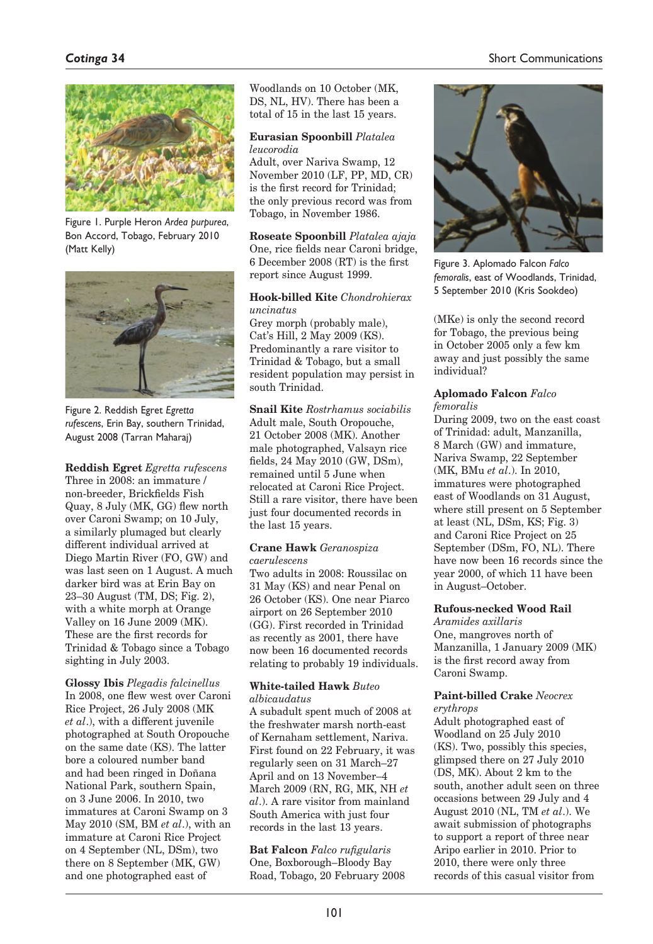# *Cotinga* **34**

## Short Communications



Figure 1. Purple Heron *Ardea purpurea*, Bon Accord, Tobago, February 2010 (Matt Kelly)



Figure 2. Reddish Egret *Egretta rufescens*, Erin Bay, southern Trinidad, August 2008 (Tarran Maharaj)

**Reddish Egret** *Egretta rufescens* Three in 2008: an immature / non-breeder, Brickfields Fish Quay, 8 July (MK, GG) flew north over Caroni Swamp; on 10 July, a similarly plumaged but clearly different individual arrived at Diego Martin River (FO, GW) and was last seen on 1 August. A much darker bird was at Erin Bay on 23–30 August (TM, DS; Fig. 2), with a white morph at Orange Valley on 16 June 2009 (MK). These are the first records for Trinidad & Tobago since a Tobago sighting in July 2003.

**Glossy Ibis** *Plegadis falcinellus* In 2008, one flew west over Caroni Rice Project, 26 July 2008 (MK *et al*.), with a different juvenile photographed at South Oropouche on the same date (KS). The latter bore a coloured number band and had been ringed in Doñana National Park, southern Spain, on 3 June 2006. In 2010, two immatures at Caroni Swamp on 3 May 2010 (SM, BM *et al*.), with an immature at Caroni Rice Project on 4 September (NL, DSm), two there on 8 September (MK, GW) and one photographed east of

Woodlands on 10 October (MK, DS, NL, HV). There has been a total of 15 in the last 15 years.

### **Eurasian Spoonbill** *Platalea leucorodia*

Adult, over Nariva Swamp, 12 November 2010 (LF, PP, MD, CR) is the first record for Trinidad; the only previous record was from Tobago, in November 1986.

**Roseate Spoonbill** *Platalea ajaja* One, rice fields near Caroni bridge, 6 December 2008 (RT) is the first report since August 1999.

#### **Hook-billed Kite** *Chondrohierax uncinatus*

Grey morph (probably male), Cat's Hill, 2 May 2009 (KS). Predominantly a rare visitor to Trinidad & Tobago, but a small resident population may persist in south Trinidad.

**Snail Kite** *Rostrhamus sociabilis* Adult male, South Oropouche, 21 October 2008 (MK). Another male photographed, Valsayn rice fields, 24 May 2010 (GW, DSm), remained until 5 June when relocated at Caroni Rice Project. Still a rare visitor, there have been just four documented records in the last 15 years.

#### **Crane Hawk** *Geranospiza caerulescens*

Two adults in 2008: Roussilac on 31 May (KS) and near Penal on 26 October (KS). One near Piarco airport on 26 September 2010 (GG). First recorded in Trinidad as recently as 2001, there have now been 16 documented records relating to probably 19 individuals.

#### **White-tailed Hawk** *Buteo albicaudatus*

A subadult spent much of 2008 at the freshwater marsh north-east of Kernaham settlement, Nariva. First found on 22 February, it was regularly seen on 31 March–27 April and on 13 November–4 March 2009 (RN, RG, MK, NH *et al*.). A rare visitor from mainland South America with just four records in the last 13 years.

**Bat Falcon** *Falco rufigularis* One, Boxborough–Bloody Bay Road, Tobago, 20 February 2008



Figure 3. Aplomado Falcon *Falco femoralis*, east of Woodlands, Trinidad, 5 September 2010 (Kris Sookdeo)

(MKe) is only the second record for Tobago, the previous being in October 2005 only a few km away and just possibly the same individual?

#### **Aplomado Falcon** *Falco femoralis*

During 2009, two on the east coast of Trinidad: adult, Manzanilla, 8 March (GW) and immature, Nariva Swamp, 22 September (MK, BMu *et al*.). In 2010, immatures were photographed east of Woodlands on 31 August, where still present on 5 September at least (NL, DSm, KS; Fig. 3) and Caroni Rice Project on 25 September (DSm, FO, NL). There have now been 16 records since the year 2000, of which 11 have been in August–October.

## **Rufous-necked Wood Rail**

*Aramides axillaris* One, mangroves north of Manzanilla, 1 January 2009 (MK) is the first record away from Caroni Swamp.

# **Paint-billed Crake** *Neocrex*

*erythrops*

Adult photographed east of Woodland on 25 July 2010 (KS). Two, possibly this species, glimpsed there on 27 July 2010 (DS, MK). About 2 km to the south, another adult seen on three occasions between 29 July and 4 August 2010 (NL, TM *et al*.). We await submission of photographs to support a report of three near Aripo earlier in 2010. Prior to 2010, there were only three records of this casual visitor from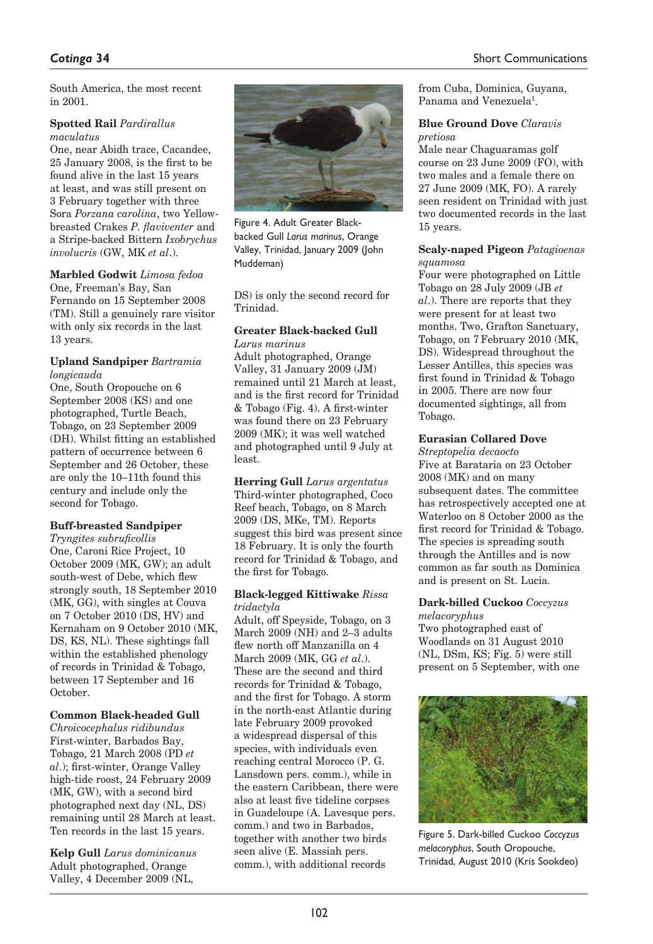South America, the most recent in 2001.

#### **Spotted Rail** *Pardirallus maculatus*

One, near Abidh trace, Cacandee, 25 January 2008, is the first to be found alive in the last 15 years at least, and was still present on 3 February together with three Sora *Porzana carolina*, two Yellowbreasted Crakes *P. flaviventer* and a Stripe-backed Bittern *Ixobrychus involucris* (GW, MK *et al*.).

# **Marbled Godwit** *Limosa fedoa*

One, Freeman's Bay, San Fernando on 15 September 2008 (TM). Still a genuinely rare visitor with only six records in the last 13 years.

#### **Upland Sandpiper** *Bartramia longicauda*

One, South Oropouche on 6 September 2008 (KS) and one photographed, Turtle Beach, Tobago, on 23 September 2009 (DH). Whilst fitting an established pattern of occurrence between 6 September and 26 October, these are only the 10–11th found this century and include only the second for Tobago.

## **Buff-breasted Sandpiper**

*Tryngites subruficollis* One, Caroni Rice Project, 10 October 2009 (MK, GW); an adult south-west of Debe, which flew strongly south, 18 September 2010 (MK, GG), with singles at Couva on 7 October 2010 (DS, HV) and Kernaham on 9 October 2010 (MK, DS, KS, NL). These sightings fall within the established phenology of records in Trinidad & Tobago, between 17 September and 16 October.

## **Common Black-headed Gull**

*Chroicocephalus ridibundus* First-winter, Barbados Bay, Tobago, 21 March 2008 (PD *et al*.); first-winter, Orange Valley high-tide roost, 24 February 2009 (MK, GW), with a second bird photographed next day (NL, DS) remaining until 28 March at least. Ten records in the last 15 years.

**Kelp Gull** *Larus dominicanus* Adult photographed, Orange Valley, 4 December 2009 (NL,



Figure 4. Adult Greater Blackbacked Gull *Larus marinus*, Orange Valley, Trinidad, January 2009 (John Muddeman)

DS) is only the second record for Trinidad.

### **Greater Black-backed Gull** *Larus marinus*

Adult photographed, Orange Valley, 31 January 2009 (JM) remained until 21 March at least, and is the first record for Trinidad & Tobago (Fig. 4). A first-winter was found there on 23 February 2009 (MK); it was well watched and photographed until 9 July at least.

**Herring Gull** *Larus argentatus* Third-winter photographed, Coco Reef beach, Tobago, on 8 March 2009 (DS, MKe, TM). Reports suggest this bird was present since 18 February. It is only the fourth record for Trinidad & Tobago, and the first for Tobago.

#### **Black-legged Kittiwake** *Rissa tridactyla*

Adult, off Speyside, Tobago, on 3 March 2009 (NH) and 2–3 adults flew north off Manzanilla on 4 March 2009 (MK, GG *et al*.). These are the second and third records for Trinidad & Tobago, and the first for Tobago. A storm in the north-east Atlantic during late February 2009 provoked a widespread dispersal of this species, with individuals even reaching central Morocco (P. G. Lansdown pers. comm.), while in the eastern Caribbean, there were also at least five tideline corpses in Guadeloupe (A. Lavesque pers. comm.) and two in Barbados, together with another two birds seen alive (E. Massiah pers. comm.), with additional records

from Cuba, Dominica, Guyana, Panama and Venezuela<sup>1</sup>.

#### **Blue Ground Dove** *Claravis pretiosa*

Male near Chaguaramas golf course on 23 June 2009 (FO), with two males and a female there on 27 June 2009 (MK, FO). A rarely seen resident on Trinidad with just two documented records in the last 15 years.

#### **Scaly-naped Pigeon** *Patagioenas squamosa*

Four were photographed on Little Tobago on 28 July 2009 (JB *et al*.). There are reports that they were present for at least two months. Two, Grafton Sanctuary, Tobago, on 7 February 2010 (MK, DS). Widespread throughout the Lesser Antilles, this species was first found in Trinidad & Tobago in 2005. There are now four documented sightings, all from Tobago.

### **Eurasian Collared Dove**

*Streptopelia decaocto* Five at Barataria on 23 October 2008 (MK) and on many subsequent dates. The committee has retrospectively accepted one at Waterloo on 8 October 2000 as the first record for Trinidad & Tobago. The species is spreading south through the Antilles and is now common as far south as Dominica and is present on St. Lucia.

## **Dark-billed Cuckoo** *Coccyzus*

*melacoryphus* Two photographed east of Woodlands on 31 August 2010 (NL, DSm, KS; Fig. 5) were still present on 5 September, with one



Figure 5. Dark-billed Cuckoo *Coccyzus melacoryphus*, South Oropouche, Trinidad, August 2010 (Kris Sookdeo)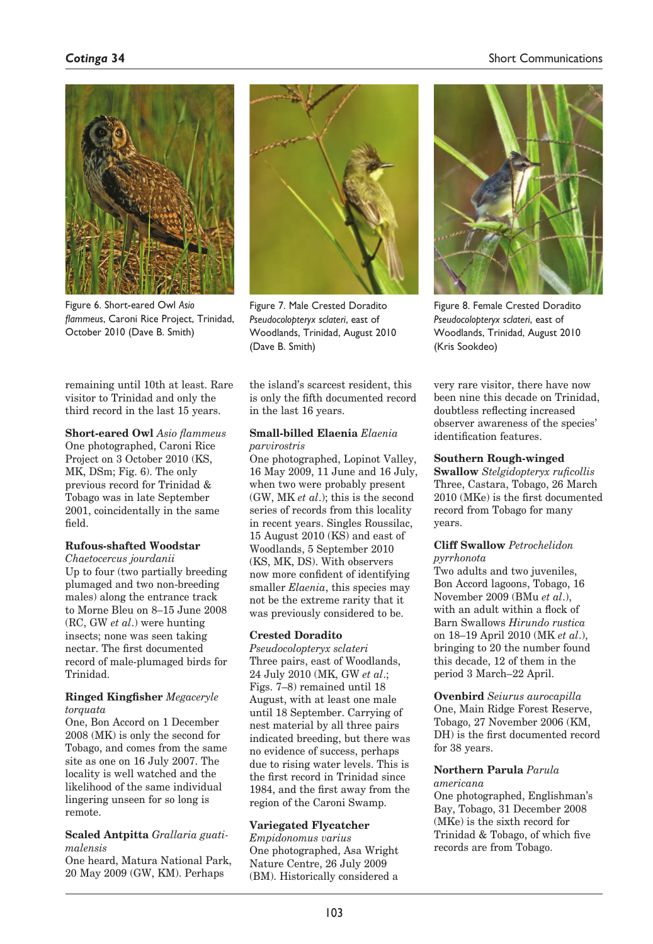# *Cotinga* **34**

## Short Communications



Figure 6. Short-eared Owl *Asio flammeus*, Caroni Rice Project, Trinidad, October 2010 (Dave B. Smith)

remaining until 10th at least. Rare visitor to Trinidad and only the third record in the last 15 years.

**Short-eared Owl** *Asio flammeus*  One photographed, Caroni Rice Project on 3 October 2010 (KS, MK, DSm; Fig. 6). The only previous record for Trinidad & Tobago was in late September 2001, coincidentally in the same field.

#### **Rufous-shafted Woodstar**

*Chaetocercus jourdanii* Up to four (two partially breeding plumaged and two non-breeding males) along the entrance track to Morne Bleu on 8–15 June 2008 (RC, GW *et al*.) were hunting insects; none was seen taking nectar. The first documented record of male-plumaged birds for Trinidad.

### **Ringed Kingfisher** *Megaceryle torquata*

One, Bon Accord on 1 December 2008 (MK) is only the second for Tobago, and comes from the same site as one on 16 July 2007. The locality is well watched and the likelihood of the same individual lingering unseen for so long is remote.

#### **Scaled Antpitta** *Grallaria guatimalensis*

One heard, Matura National Park, 20 May 2009 (GW, KM). Perhaps



Figure 7. Male Crested Doradito *Pseudocolopteryx sclateri*, east of Woodlands, Trinidad, August 2010 (Dave B. Smith)

the island's scarcest resident, this is only the fifth documented record in the last 16 years.

### **Small-billed Elaenia** *Elaenia parvirostris*

One photographed, Lopinot Valley, 16 May 2009, 11 June and 16 July, when two were probably present (GW, MK *et al*.); this is the second series of records from this locality in recent years. Singles Roussilac, 15 August 2010 (KS) and east of Woodlands, 5 September 2010 (KS, MK, DS). With observers now more confident of identifying smaller *Elaenia*, this species may not be the extreme rarity that it was previously considered to be.

## **Crested Doradito**

*Pseudocolopteryx sclateri* Three pairs, east of Woodlands, 24 July 2010 (MK, GW *et al*.; Figs. 7–8) remained until 18 August, with at least one male until 18 September. Carrying of nest material by all three pairs indicated breeding, but there was no evidence of success, perhaps due to rising water levels. This is the first record in Trinidad since 1984, and the first away from the region of the Caroni Swamp.

#### **Variegated Flycatcher**

*Empidonomus varius* One photographed, Asa Wright Nature Centre, 26 July 2009 (BM). Historically considered a



Figure 8. Female Crested Doradito *Pseudocolopteryx sclateri*, east of Woodlands, Trinidad, August 2010 (Kris Sookdeo)

very rare visitor, there have now been nine this decade on Trinidad, doubtless reflecting increased observer awareness of the species' identification features.

#### **Southern Rough-winged**

**Swallow** *Stelgidopteryx ruficollis* Three, Castara, Tobago, 26 March 2010 (MKe) is the first documented record from Tobago for many years.

#### **Cliff Swallow** *Petrochelidon pyrrhonota*

Two adults and two juveniles, Bon Accord lagoons, Tobago, 16 November 2009 (BMu *et al*.), with an adult within a flock of Barn Swallows *Hirundo rustica* on 18–19 April 2010 (MK *et al*.), bringing to 20 the number found this decade, 12 of them in the period 3 March–22 April.

**Ovenbird** *Seiurus aurocapilla* One, Main Ridge Forest Reserve, Tobago, 27 November 2006 (KM, DH) is the first documented record for 38 years.

#### **Northern Parula** *Parula americana*

One photographed, Englishman's Bay, Tobago, 31 December 2008 (MKe) is the sixth record for Trinidad & Tobago, of which five records are from Tobago.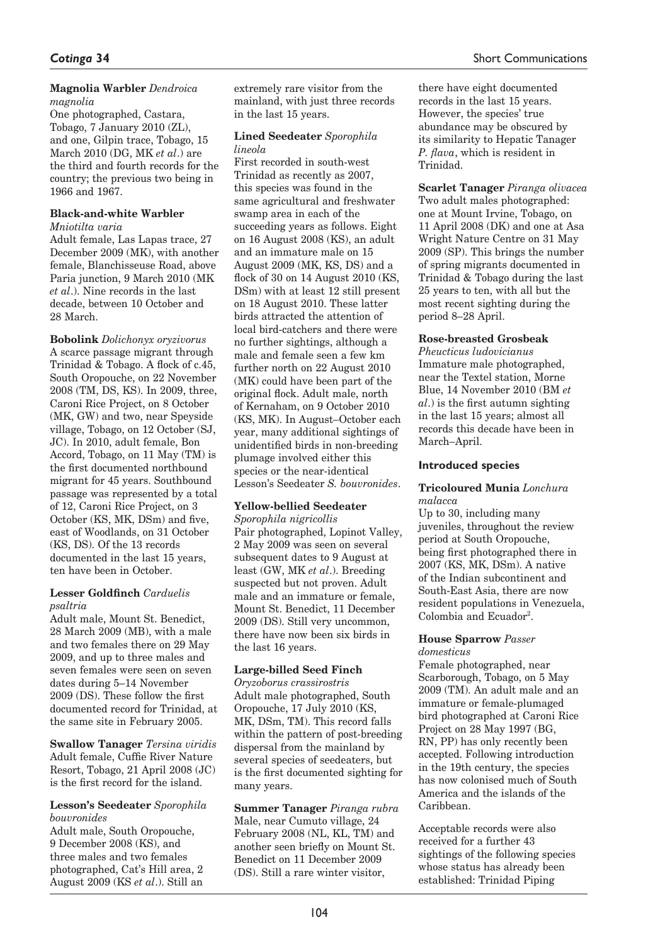### **Magnolia Warbler** *Dendroica magnolia*

One photographed, Castara, Tobago, 7 January 2010 (ZL), and one, Gilpin trace, Tobago, 15 March 2010 (DG, MK *et al*.) are the third and fourth records for the country; the previous two being in 1966 and 1967.

#### **Black-and-white Warbler**  *Mniotilta varia*

Adult female, Las Lapas trace, 27 December 2009 (MK), with another female, Blanchisseuse Road, above Paria junction, 9 March 2010 (MK *et al*.). Nine records in the last decade, between 10 October and 28 March.

**Bobolink** *Dolichonyx oryzivorus* A scarce passage migrant through Trinidad & Tobago. A flock of c.45, South Oropouche, on 22 November 2008 (TM, DS, KS). In 2009, three, Caroni Rice Project, on 8 October (MK, GW) and two, near Speyside village, Tobago, on 12 October (SJ, JC). In 2010, adult female, Bon Accord, Tobago, on 11 May (TM) is the first documented northbound migrant for 45 years. Southbound passage was represented by a total of 12, Caroni Rice Project, on 3 October (KS, MK, DSm) and five, east of Woodlands, on 31 October (KS, DS). Of the 13 records documented in the last 15 years, ten have been in October.

#### **Lesser Goldfinch** *Carduelis psaltria*

Adult male, Mount St. Benedict, 28 March 2009 (MB), with a male and two females there on 29 May 2009, and up to three males and seven females were seen on seven dates during 5–14 November 2009 (DS). These follow the first documented record for Trinidad, at the same site in February 2005.

**Swallow Tanager** *Tersina viridis* Adult female, Cuffie River Nature Resort, Tobago, 21 April 2008 (JC) is the first record for the island.

### **Lesson's Seedeater** *Sporophila bouvronides*

Adult male, South Oropouche, 9 December 2008 (KS), and three males and two females photographed, Cat's Hill area, 2 August 2009 (KS *et al*.). Still an

extremely rare visitor from the mainland, with just three records in the last 15 years.

### **Lined Seedeater** *Sporophila lineola*

First recorded in south-west Trinidad as recently as 2007, this species was found in the same agricultural and freshwater swamp area in each of the succeeding years as follows. Eight on 16 August 2008 (KS), an adult and an immature male on 15 August 2009 (MK, KS, DS) and a flock of 30 on 14 August 2010 (KS, DSm) with at least 12 still present on 18 August 2010. These latter birds attracted the attention of local bird-catchers and there were no further sightings, although a male and female seen a few km further north on 22 August 2010 (MK) could have been part of the original flock. Adult male, north of Kernaham, on 9 October 2010 (KS, MK). In August–October each year, many additional sightings of unidentified birds in non-breeding plumage involved either this species or the near-identical Lesson's Seedeater *S. bouvronides*.

## **Yellow-bellied Seedeater**

*Sporophila nigricollis* Pair photographed, Lopinot Valley, 2 May 2009 was seen on several subsequent dates to 9 August at least (GW, MK *et al*.). Breeding suspected but not proven. Adult male and an immature or female, Mount St. Benedict, 11 December 2009 (DS). Still very uncommon, there have now been six birds in the last 16 years.

# **Large-billed Seed Finch**

*Oryzoborus crassirostris* Adult male photographed, South Oropouche, 17 July 2010 (KS, MK, DSm, TM). This record falls within the pattern of post-breeding dispersal from the mainland by several species of seedeaters, but is the first documented sighting for many years.

**Summer Tanager** *Piranga rubra* Male, near Cumuto village, 24 February 2008 (NL, KL, TM) and another seen briefly on Mount St. Benedict on 11 December 2009 (DS). Still a rare winter visitor,

there have eight documented records in the last 15 years. However, the species' true abundance may be obscured by its similarity to Hepatic Tanager *P. flava*, which is resident in Trinidad.

**Scarlet Tanager** *Piranga olivacea* Two adult males photographed: one at Mount Irvine, Tobago, on 11 April 2008 (DK) and one at Asa Wright Nature Centre on 31 May 2009 (SP). This brings the number of spring migrants documented in Trinidad & Tobago during the last 25 years to ten, with all but the most recent sighting during the period 8–28 April.

## **Rose-breasted Grosbeak**

*Pheucticus ludovicianus* Immature male photographed, near the Textel station, Morne Blue, 14 November 2010 (BM *et al*.) is the first autumn sighting in the last 15 years; almost all records this decade have been in March–April.

## **Introduced species**

### **Tricoloured Munia** *Lonchura malacca*

Up to 30, including many juveniles, throughout the review period at South Oropouche, being first photographed there in 2007 (KS, MK, DSm). A native of the Indian subcontinent and South-East Asia, there are now resident populations in Venezuela, Colombia and Ecuador<sup>2</sup>.

#### **House Sparrow** *Passer domesticus*

Female photographed, near Scarborough, Tobago, on 5 May 2009 (TM). An adult male and an immature or female-plumaged bird photographed at Caroni Rice Project on 28 May 1997 (BG, RN, PP) has only recently been accepted. Following introduction in the 19th century, the species has now colonised much of South America and the islands of the Caribbean.

Acceptable records were also received for a further 43 sightings of the following species whose status has already been established: Trinidad Piping